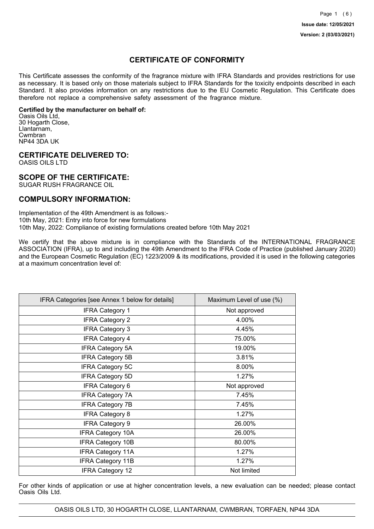## **CERTIFICATE OF CONFORMITY**

This Certificate assesses the conformity of the fragrance mixture with IFRA Standards and provides restrictions for use as necessary. It is based only on those materials subject to IFRA Standards for the toxicity endpoints described in each Standard. It also provides information on any restrictions due to the EU Cosmetic Regulation. This Certificate does therefore not replace a comprehensive safety assessment of the fragrance mixture.

#### **Certified by the manufacturer on behalf of:**

Oasis Oils Ltd, 30 Hogarth Close, Llantarnam, Cwmbran NP44 3DA UK

## **CERTIFICATE DELIVERED TO:**

OASIS OILS LTD

## **SCOPE OF THE CERTIFICATE:**

SUGAR RUSH FRAGRANCE OIL

## **COMPULSORY INFORMATION:**

Implementation of the 49th Amendment is as follows:- 10th May, 2021: Entry into force for new formulations 10th May, 2022: Compliance of existing formulations created before 10th May 2021

We certify that the above mixture is in compliance with the Standards of the INTERNATIONAL FRAGRANCE ASSOCIATION (IFRA), up to and including the 49th Amendment to the IFRA Code of Practice (published January 2020) and the European Cosmetic Regulation (EC) 1223/2009 & its modifications, provided it is used in the following categories at a maximum concentration level of:

| IFRA Categories [see Annex 1 below for details] | Maximum Level of use (%) |
|-------------------------------------------------|--------------------------|
| <b>IFRA Category 1</b>                          | Not approved             |
| <b>IFRA Category 2</b>                          | 4.00%                    |
| <b>IFRA Category 3</b>                          | 4.45%                    |
| <b>IFRA Category 4</b>                          | 75.00%                   |
| <b>IFRA Category 5A</b>                         | 19.00%                   |
| <b>IFRA Category 5B</b>                         | 3.81%                    |
| <b>IFRA Category 5C</b>                         | 8.00%                    |
| <b>IFRA Category 5D</b>                         | 1.27%                    |
| <b>IFRA Category 6</b>                          | Not approved             |
| <b>IFRA Category 7A</b>                         | 7.45%                    |
| <b>IFRA Category 7B</b>                         | 7.45%                    |
| <b>IFRA Category 8</b>                          | 1.27%                    |
| <b>IFRA Category 9</b>                          | 26.00%                   |
| <b>IFRA Category 10A</b>                        | 26.00%                   |
| <b>IFRA Category 10B</b>                        | 80.00%                   |
| <b>IFRA Category 11A</b>                        | 1.27%                    |
| <b>IFRA Category 11B</b>                        | 1.27%                    |
| <b>IFRA Category 12</b>                         | Not limited              |

For other kinds of application or use at higher concentration levels, a new evaluation can be needed; please contact Oasis Oils Ltd.

OASIS OILS LTD, 30 HOGARTH CLOSE, LLANTARNAM, CWMBRAN, TORFAEN, NP44 3DA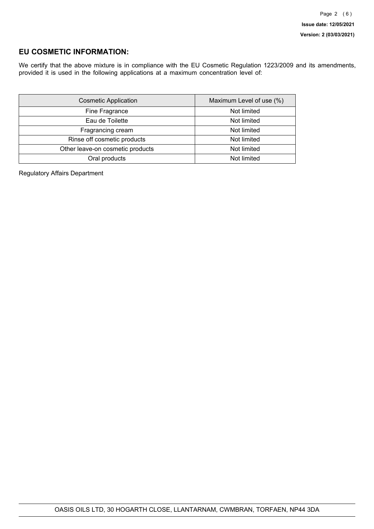## **EU COSMETIC INFORMATION:**

We certify that the above mixture is in compliance with the EU Cosmetic Regulation 1223/2009 and its amendments, provided it is used in the following applications at a maximum concentration level of:

| <b>Cosmetic Application</b>      | Maximum Level of use (%) |
|----------------------------------|--------------------------|
| Fine Fragrance                   | Not limited              |
| Eau de Toilette                  | Not limited              |
| Fragrancing cream                | Not limited              |
| Rinse off cosmetic products      | Not limited              |
| Other leave-on cosmetic products | Not limited              |
| Oral products                    | Not limited              |

Regulatory Affairs Department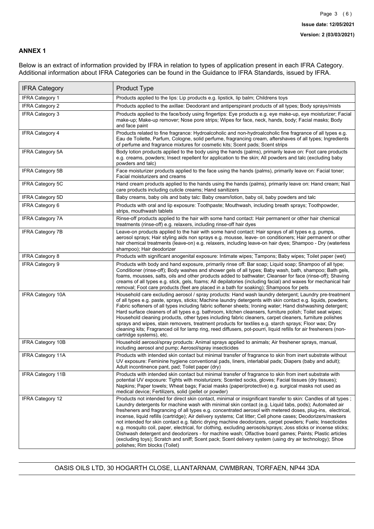### **ANNEX 1**

Below is an extract of information provided by IFRA in relation to types of application present in each IFRA Category. Additional information about IFRA Categories can be found in the Guidance to IFRA Standards, issued by IFRA.

| <b>IFRA Category</b>     | Product Type                                                                                                                                                                                                                                                                                                                                                                                                                                                                                                                                                                                                                                                                                                                                                                                                                                                                                                                                 |
|--------------------------|----------------------------------------------------------------------------------------------------------------------------------------------------------------------------------------------------------------------------------------------------------------------------------------------------------------------------------------------------------------------------------------------------------------------------------------------------------------------------------------------------------------------------------------------------------------------------------------------------------------------------------------------------------------------------------------------------------------------------------------------------------------------------------------------------------------------------------------------------------------------------------------------------------------------------------------------|
| <b>IFRA Category 1</b>   | Products applied to the lips: Lip products e.g. lipstick, lip balm; Childrens toys                                                                                                                                                                                                                                                                                                                                                                                                                                                                                                                                                                                                                                                                                                                                                                                                                                                           |
| <b>IFRA Category 2</b>   | Products applied to the axillae: Deodorant and antiperspirant products of all types; Body sprays/mists                                                                                                                                                                                                                                                                                                                                                                                                                                                                                                                                                                                                                                                                                                                                                                                                                                       |
| IFRA Category 3          | Products applied to the face/body using fingertips: Eye products e.g. eye make-up, eye moisturizer; Facial<br>make-up; Make-up remover; Nose pore strips; Wipes for face, neck, hands, body; Facial masks; Body<br>and face paint                                                                                                                                                                                                                                                                                                                                                                                                                                                                                                                                                                                                                                                                                                            |
| <b>IFRA Category 4</b>   | Products related to fine fragrance: Hydroalcoholic and non-hydroalcoholic fine fragrance of all types e.g.<br>Eau de Toilette, Parfum, Cologne, solid perfume, fragrancing cream, aftershaves of all types; Ingredients<br>of perfume and fragrance mixtures for cosmetic kits; Scent pads; Scent strips                                                                                                                                                                                                                                                                                                                                                                                                                                                                                                                                                                                                                                     |
| <b>IFRA Category 5A</b>  | Body lotion products applied to the body using the hands (palms), primarily leave on: Foot care products<br>e.g. creams, powders; Insect repellent for application to the skin; All powders and talc (excluding baby<br>powders and talc)                                                                                                                                                                                                                                                                                                                                                                                                                                                                                                                                                                                                                                                                                                    |
| IFRA Category 5B         | Face moisturizer products applied to the face using the hands (palms), primarily leave on: Facial toner;<br>Facial moisturizers and creams                                                                                                                                                                                                                                                                                                                                                                                                                                                                                                                                                                                                                                                                                                                                                                                                   |
| IFRA Category 5C         | Hand cream products applied to the hands using the hands (palms), primarily leave on: Hand cream; Nail<br>care products including cuticle creams; Hand sanitizers                                                                                                                                                                                                                                                                                                                                                                                                                                                                                                                                                                                                                                                                                                                                                                            |
| <b>IFRA Category 5D</b>  | Baby creams, baby oils and baby talc: Baby cream/lotion, baby oil, baby powders and talc                                                                                                                                                                                                                                                                                                                                                                                                                                                                                                                                                                                                                                                                                                                                                                                                                                                     |
| <b>IFRA Category 6</b>   | Products with oral and lip exposure: Toothpaste; Mouthwash, including breath sprays; Toothpowder,<br>strips, mouthwash tablets                                                                                                                                                                                                                                                                                                                                                                                                                                                                                                                                                                                                                                                                                                                                                                                                               |
| <b>IFRA Category 7A</b>  | Rinse-off products applied to the hair with some hand contact: Hair permanent or other hair chemical<br>treatments (rinse-off) e.g. relaxers, including rinse-off hair dyes                                                                                                                                                                                                                                                                                                                                                                                                                                                                                                                                                                                                                                                                                                                                                                  |
| <b>IFRA Category 7B</b>  | Leave-on products applied to the hair with some hand contact: Hair sprays of all types e.g. pumps,<br>aerosol sprays; Hair styling aids non sprays e.g. mousse, leave- on conditioners; Hair permanent or other<br>hair chemical treatments (leave-on) e.g. relaxers, including leave-on hair dyes; Shampoo - Dry (waterless<br>shampoo); Hair deodorizer                                                                                                                                                                                                                                                                                                                                                                                                                                                                                                                                                                                    |
| <b>IFRA Category 8</b>   | Products with significant anogenital exposure: Intimate wipes; Tampons; Baby wipes; Toilet paper (wet)                                                                                                                                                                                                                                                                                                                                                                                                                                                                                                                                                                                                                                                                                                                                                                                                                                       |
| <b>IFRA Category 9</b>   | Products with body and hand exposure, primarily rinse off: Bar soap; Liquid soap; Shampoo of all type;<br>Conditioner (rinse-off); Body washes and shower gels of all types; Baby wash, bath, shampoo; Bath gels,<br>foams, mousses, salts, oils and other products added to bathwater; Cleanser for face (rinse-off); Shaving<br>creams of all types e.g. stick, gels, foams; All depilatories (including facial) and waxes for mechanical hair<br>removal; Foot care products (feet are placed in a bath for soaking); Shampoos for pets                                                                                                                                                                                                                                                                                                                                                                                                   |
| <b>IFRA Category 10A</b> | Household care excluding aerosol / spray products: Hand wash laundry detergent; Laundry pre-treatment<br>of all types e.g. paste, sprays, sticks; Machine laundry detergents with skin contact e.g. liquids, powders;<br>Fabric softeners of all types including fabric softener sheets; Ironing water; Hand dishwashing detergent;<br>Hard surface cleaners of all types e.g. bathroom, kitchen cleansers, furniture polish; Toilet seat wipes;<br>Household cleaning products, other types including fabric cleaners, carpet cleaners, furniture polishes<br>sprays and wipes, stain removers, treatment products for textiles e.g. starch sprays; Floor wax; Dry<br>cleaning kits; Fragranced oil for lamp ring, reed diffusers, pot-pourri, liquid refills for air fresheners (non-<br>cartridge systems), etc.                                                                                                                          |
| <b>IFRA Category 10B</b> | Household aerosol/spray products: Animal sprays applied to animals; Air freshener sprays, manual,<br>including aerosol and pump; Aerosol/spray insecticides                                                                                                                                                                                                                                                                                                                                                                                                                                                                                                                                                                                                                                                                                                                                                                                  |
| <b>IFRA Category 11A</b> | Products with intended skin contact but minimal transfer of fragrance to skin from inert substrate without<br>UV exposure: Feminine hygiene conventional pads, liners, interlabial pads; Diapers (baby and adult);<br>Adult incontinence pant, pad; Toilet paper (dry)                                                                                                                                                                                                                                                                                                                                                                                                                                                                                                                                                                                                                                                                       |
| <b>IFRA Category 11B</b> | Products with intended skin contact but minimal transfer of fragrance to skin from inert substrate with<br>potential UV exposure: Tights with moisturizers; Scented socks, gloves; Facial tissues (dry tissues);<br>Napkins; Paper towels; Wheat bags; Facial masks (paper/protective) e.g. surgical masks not used as<br>medical device; Fertilizers, solid (pellet or powder)                                                                                                                                                                                                                                                                                                                                                                                                                                                                                                                                                              |
| <b>IFRA Category 12</b>  | Products not intended for direct skin contact, minimal or insignificant transfer to skin: Candles of all types;<br>Laundry detergents for machine wash with minimal skin contact (e.g. Liquid tabs, pods); Automated air<br>fresheners and fragrancing of all types e.g. concentrated aerosol with metered doses, plug-ins, electrical,<br>incense, liquid refills (cartridge); Air delivery systems; Cat litter; Cell phone cases; Deodorizers/maskers<br>not intended for skin contact e.g. fabric drying machine deodorizers, carpet powders; Fuels; Insecticides<br>e.g. mosquito coil, paper, electrical, for clothing, excluding aerosols/sprays; Joss sticks or incense sticks;<br>Dishwash detergent and deodorizers - for machine wash; Olfactive board games; Paints; Plastic articles<br>(excluding toys); Scratch and sniff; Scent pack; Scent delivery system (using dry air technology); Shoe<br>polishes; Rim blocks (Toilet) |

OASIS OILS LTD, 30 HOGARTH CLOSE, LLANTARNAM, CWMBRAN, TORFAEN, NP44 3DA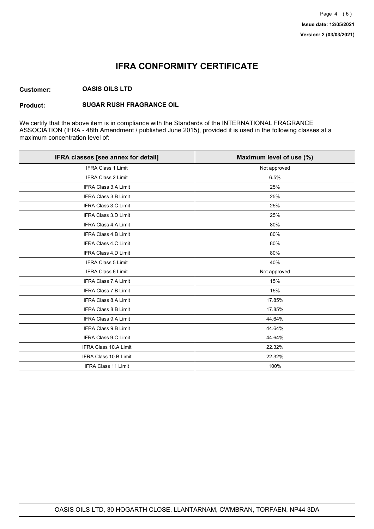# **IFRA CONFORMITY CERTIFICATE**

#### **Customer: OASIS OILS LTD**

#### **Product: SUGAR RUSH FRAGRANCE OIL**

We certify that the above item is in compliance with the Standards of the INTERNATIONAL FRAGRANCE ASSOCIATION (IFRA - 48th Amendment / published June 2015), provided it is used in the following classes at a maximum concentration level of:

| IFRA classes [see annex for detail] | Maximum level of use (%) |
|-------------------------------------|--------------------------|
| <b>IFRA Class 1 Limit</b>           | Not approved             |
| <b>IFRA Class 2 Limit</b>           | 6.5%                     |
| <b>IFRA Class 3.A Limit</b>         | 25%                      |
| <b>IFRA Class 3.B Limit</b>         | 25%                      |
| IFRA Class 3.C Limit                | 25%                      |
| <b>IFRA Class 3.D Limit</b>         | 25%                      |
| <b>IFRA Class 4.A Limit</b>         | 80%                      |
| <b>IFRA Class 4.B Limit</b>         | 80%                      |
| <b>IFRA Class 4.C Limit</b>         | 80%                      |
| <b>IFRA Class 4.D Limit</b>         | 80%                      |
| IFRA Class 5 Limit                  | 40%                      |
| <b>IFRA Class 6 Limit</b>           | Not approved             |
| <b>IFRA Class 7.A Limit</b>         | 15%                      |
| <b>IFRA Class 7.B Limit</b>         | 15%                      |
| <b>IFRA Class 8.A Limit</b>         | 17.85%                   |
| IFRA Class 8.B Limit                | 17.85%                   |
| IFRA Class 9.A Limit                | 44.64%                   |
| <b>IFRA Class 9.B Limit</b>         | 44.64%                   |
| IFRA Class 9.C Limit                | 44.64%                   |
| IFRA Class 10.A Limit               | 22.32%                   |
| IFRA Class 10.B Limit               | 22.32%                   |
| IFRA Class 11 Limit                 | 100%                     |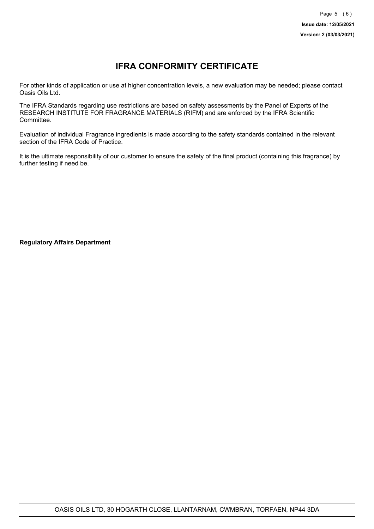# **IFRA CONFORMITY CERTIFICATE**

For other kinds of application or use at higher concentration levels, a new evaluation may be needed; please contact Oasis Oils Ltd.

The IFRA Standards regarding use restrictions are based on safety assessments by the Panel of Experts of the RESEARCH INSTITUTE FOR FRAGRANCE MATERIALS (RIFM) and are enforced by the IFRA Scientific Committee.

Evaluation of individual Fragrance ingredients is made according to the safety standards contained in the relevant section of the IFRA Code of Practice.

It is the ultimate responsibility of our customer to ensure the safety of the final product (containing this fragrance) by further testing if need be.

**Regulatory Affairs Department**